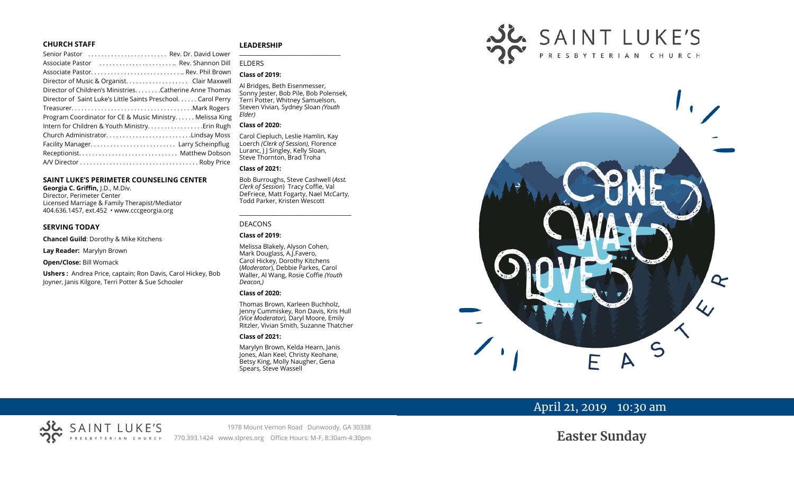#### **CHURCH STAFF**

| Senior Pastor  Rev. Dr. David Lower                          |  |
|--------------------------------------------------------------|--|
| Associate Pastor  Rev. Shannon Dill                          |  |
|                                                              |  |
| Director of Music & Organist. Clair Maxwell                  |  |
| Director of Children's Ministries. Catherine Anne Thomas     |  |
| Director of Saint Luke's Little Saints Preschool Carol Perry |  |
|                                                              |  |
| Program Coordinator for CE & Music Ministry Melissa King     |  |
| Intern for Children & Youth Ministry Erin Rugh               |  |
| Church AdministratorLindsay Moss                             |  |
|                                                              |  |
|                                                              |  |
|                                                              |  |
|                                                              |  |

#### **SAINT LUKE'S PERIMETER COUNSELING CENTER**

**Georgia C. Griffin,** J.D., M.Div. Director, Perimeter Center Licensed Marriage & Family Therapist/Mediator 404.636.1457, ext.452 • www.cccgeorgia.org

#### **SERVING TODAY**

**Chancel Guild**: Dorothy & Mike Kitchens

**Lay Reader:** Marylyn Brown

**Open/Close:** Bill Womack

**Ushers :** Andrea Price, captain; Ron Davis, Carol Hickey, Bob Joyner, Janis Kilgore, Terri Potter & Sue Schooler

#### **LEADERSHIP**

## ELDERS

## **Class of 2019:**

Al Bridges, Beth Eisenmesser, Sonny Jester, Bob Pile, Bob Polensek, Terri Potter, Whitney Samuelson, Steven Vivian*,* Sydney Sloan *(Youth Elder)*

**\_\_\_\_\_\_\_\_\_\_\_\_\_\_\_\_\_\_\_\_\_\_\_\_\_\_\_\_\_\_\_\_\_\_\_\_\_\_\_**

#### **Class of 2020:**

Carol Ciepluch, Leslie Hamlin, Kay Loerch *(Clerk of Session),* Florence Luranc, J J Singley, Kelly Sloan, Steve Thornton, Brad Troha

#### **Class of 2021:**

Bob Burroughs, Steve Cashwell (*Asst. Clerk of Session*) Tracy Coffie, Val DeFriece, Matt Fogarty, Nael McCarty, Todd Parker, Kristen Wescott

\_\_\_\_\_\_\_\_\_\_\_\_\_\_\_\_\_\_\_\_\_\_\_\_\_\_\_\_\_\_\_\_\_\_\_\_

#### DEACONS

#### **Class of 2019:**

Melissa Blakely, Alyson Cohen, Mark Douglass, A.J.Favero, Carol Hickey, Dorothy Kitchens (*Moderator*), Debbie Parkes, Carol Waller, Al Wang, Rosie Coffie *(Youth Deacon,)* 

#### **Class of 2020:**

Thomas Brown, Karleen Buchholz, Jenny Cummiskey, Ron Davis, Kris Hull *(Vice Moderator),* Daryl Moore, Emily Ritzler, Vivian Smith, Suzanne Thatcher

#### **Class of 2021:**

Marylyn Brown, Kelda Hearn, Janis Jones, Alan Keel, Christy Keohane, Betsy King, Molly Naugher, Gena Spears, Steve Wassell





## April 21, 2019 10:30 am

# **Easter Sunday**

1978 Mount Vernon Road Dunwoody, GA 30338 770.393.1424 www.slpres.org Office Hours: M-F, 8:30am-4:30pm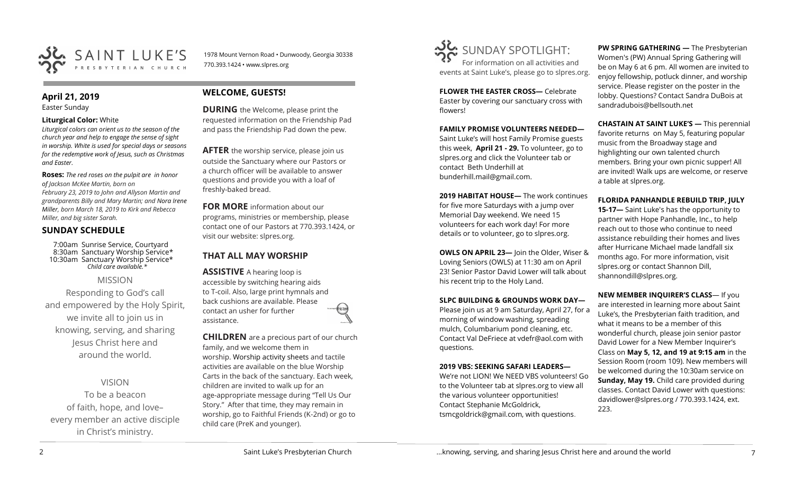

1978 Mount Vernon Road • Dunwoody, Georgia 30338 770.393.1424 • www.slpres.org

### **April 21, 2019**

Easter Sunday

#### **Liturgical Color:** White

*Liturgical colors can orient us to the season of the church year and help to engage the sense of sight in worship. White is used for special days or seasons for the redemptive work of Jesus, such as Christmas and Easter.*

**Roses:** *The red roses on the pulpit are in honor of Jackson McKee Martin, born on February 23, 2019 to John and Allyson Martin and grandparents Billy and Mary Martin; and Nora Irene Miller, born March 18, 2019 to Kirk and Rebecca Miller, and big sister Sarah.*

## **SUNDAY SCHEDULE**

7:00am Sunrise Service, Courtyard 8:30am Sanctuary Worship Service\* 10:30am Sanctuary Worship Service\* *Child care available.\** 

MISSION

Responding to God's call and empowered by the Holy Spirit, we invite all to join us in knowing, serving, and sharing Jesus Christ here and around the world.

VISION

To be a beacon of faith, hope, and love– every member an active disciple in Christ's ministry.

## **WELCOME, GUESTS!**

**DURING** the Welcome, please print the requested information on the Friendship Pad and pass the Friendship Pad down the pew.

**AFTER** the worship service, please join us outside the Sanctuary where our Pastors or a church officer will be available to answer questions and provide you with a loaf of freshly-baked bread.

**FOR MORE** information about our programs, ministries or membership, please contact one of our Pastors at 770.393.1424, or visit our website: slpres.org.

## **THAT ALL MAY WORSHIP**

**ASSISTIVE** A hearing loop is accessible by switching hearing aids to T-coil. Also, large print hymnals and back cushions are available. Please contact an usher for further assistance.

**CHILDREN** are a precious part of our church family, and we welcome them in worship. Worship activity sheets and tactile activities are available on the blue Worship Carts in the back of the sanctuary. Each week, children are invited to walk up for an age-appropriate message during "Tell Us Our Story." After that time, they may remain in worship, go to Faithful Friends (K-2nd) or go to child care (PreK and younger).



**FLOWER THE EASTER CROSS—** Celebrate Easter by covering our sanctuary cross with flowers!

**FAMILY PROMISE VOLUNTEERS NEEDED—** Saint Luke's will host Family Promise guests this week, **April 21 - 29.** To volunteer, go to slpres.org and click the Volunteer tab or contact Beth Underhill at bunderhill.mail@gmail.com.

**2019 HABITAT HOUSE—** The work continues for five more Saturdays with a jump over Memorial Day weekend. We need 15 volunteers for each work day! For more details or to volunteer, go to slpres.org.

**OWLS ON APRIL 23—** Join the Older, Wiser & Loving Seniors (OWLS) at 11:30 am on April 23! Senior Pastor David Lower will talk about his recent trip to the Holy Land.

#### **SLPC BUILDING & GROUNDS WORK DAY—**

Please join us at 9 am Saturday, April 27, for a morning of window washing, spreading mulch, Columbarium pond cleaning, etc. Contact Val DeFriece at vdefr@aol.com with questions.

#### **2019 VBS: SEEKING SAFARI LEADERS—**

We're not LION! We NEED VBS volunteers! Go to the Volunteer tab at slpres.org to view all the various volunteer opportunities! Contact Stephanie McGoldrick, tsmcgoldrick@gmail.com, with questions.

**PW SPRING GATHERING —** The Presbyterian Women's (PW) Annual Spring Gathering will be on May 6 at 6 pm. All women are invited to enjoy fellowship, potluck dinner, and worship service. Please register on the poster in the lobby. Questions? Contact Sandra DuBois at [sandradubois@bellsouth.net](mailto:sandradubois@bellsouth.net)

**CHASTAIN AT SAINT LUKE'S —** This perennial favorite returns on May 5, featuring popular music from the Broadway stage and highlighting our own talented church members. Bring your own picnic supper! All are invited! Walk ups are welcome, or reserve a table at slpres.org.

#### **FLORIDA PANHANDLE REBUILD TRIP, JULY**

**15-17—** Saint Luke's has the opportunity to partner with Hope Panhandle, Inc., to help reach out to those who continue to need assistance rebuilding their homes and lives after Hurricane Michael made landfall six months ago. For more information, visit slpres.org or contact Shannon Dill, shannondill@slpres.org.

**NEW MEMBER INQUIRER'S CLASS**— If you are interested in learning more about Saint Luke's, the Presbyterian faith tradition, and what it means to be a member of this wonderful church, please join senior pastor David Lower for a New Member Inquirer's Class on **May 5, 12, and 19 at 9:15 am** in the Session Room (room 109). New members will be welcomed during the 10:30am service on **Sunday, May 19.** Child care provided during classes. Contact David Lower with questions: davidlower@slpres.org / 770.393.1424, ext. 223.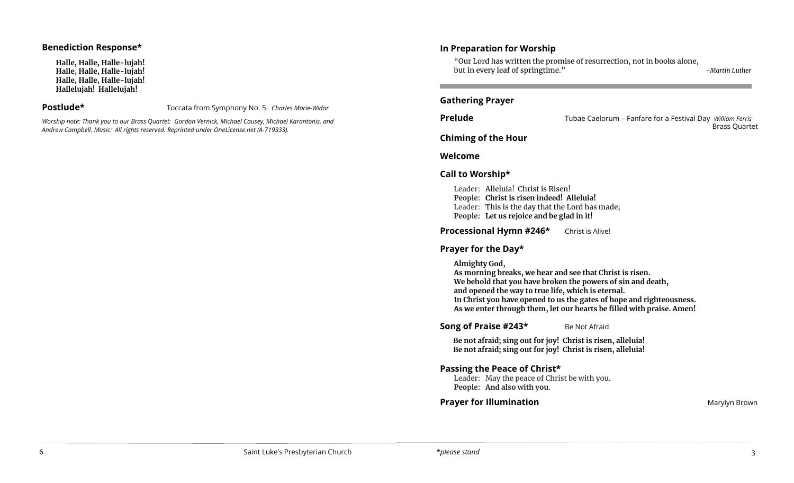#### **Benediction Response\***

**Halle, Halle, Halle-lujah! Halle, Halle, Halle-lujah! Halle, Halle, Halle-lujah! Hallelujah! Hallelujah!** 

**Postlude\*** Toccata from Symphony No. 5 *Charles Marie-Widor*

*Worship note: Thank you to our Brass Quartet: Gordon Vernick, Michael Causey, Michael Karantonis, and Andrew Campbell. Music: All rights reserved. Reprinted under OneLicense.net (A-719333).* 

## **In Preparation for Worship**

"Our Lord has written the promise of resurrection, not in books alone, but in every leaf of springtime." *-Martin Luther*

#### **Gathering Prayer**

**Prelude** Tubae Caelorum – Fanfare for a Festival Day *William Ferris* Brass Quartet

### **Chiming of the Hour**

**Welcome** 

### **Call to Worship\***

Leader: Alleluia! Christ is Risen! **People: Christ is risen indeed! Alleluia!** Leader: This is the day that the Lord has made; **People: Let us rejoice and be glad in it!**

**Processional Hymn #246\*** Christ is Alive!

## **Prayer for the Day\***

**Almighty God,**

**As morning breaks, we hear and see that Christ is risen. We behold that you have broken the powers of sin and death, and opened the way to true life, which is eternal. In Christ you have opened to us the gates of hope and righteousness. As we enter through them, let our hearts be filled with praise. Amen!**

**Song of Praise #243\*** Be Not Afraid

**Be not afraid; sing out for joy! Christ is risen, alleluia! Be not afraid; sing out for joy! Christ is risen, alleluia!**

## **Passing the Peace of Christ\***

Leader: May the peace of Christ be with you. **People: And also with you.** 

### **Prayer for Illumination Marylyn Brown**